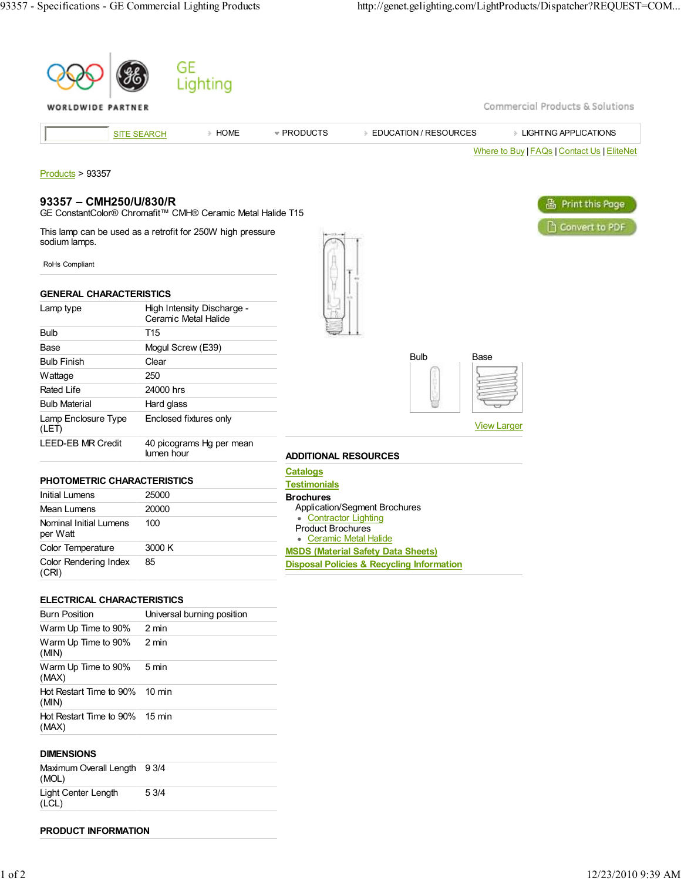